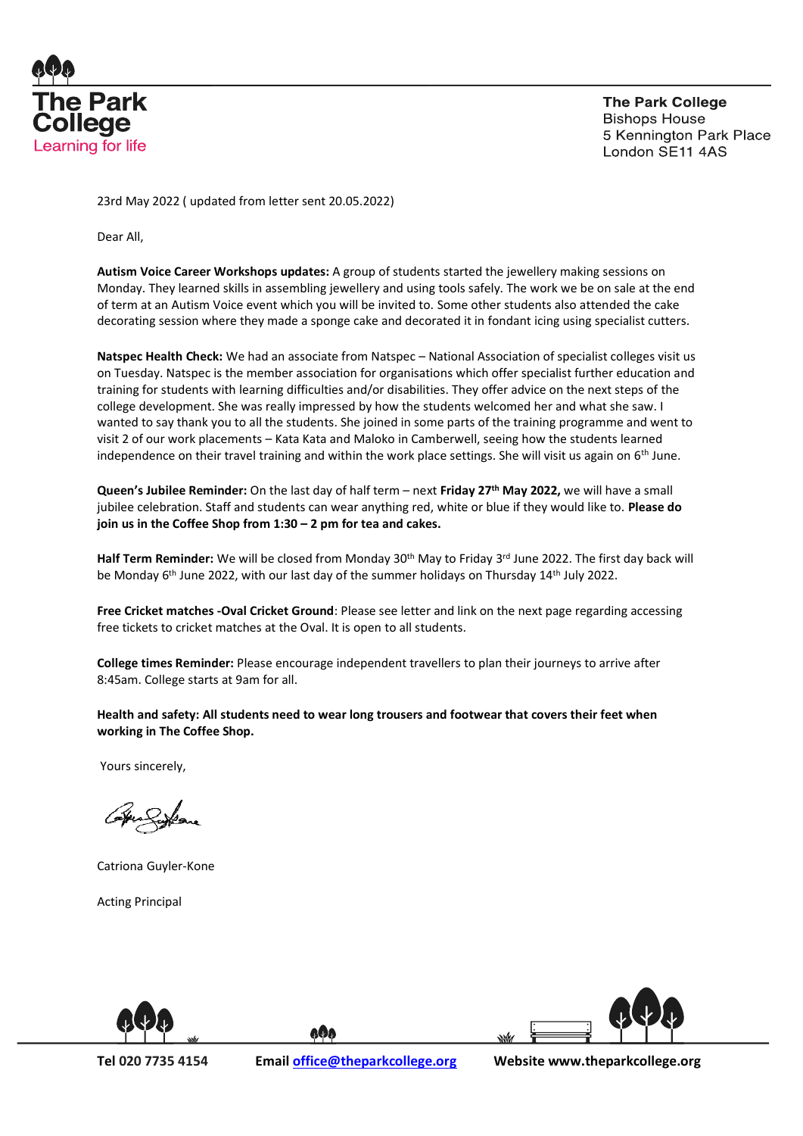

23rd May 2022 ( updated from letter sent 20.05.2022)

Dear All,

**Autism Voice Career Workshops updates:** A group of students started the jewellery making sessions on Monday. They learned skills in assembling jewellery and using tools safely. The work we be on sale at the end of term at an Autism Voice event which you will be invited to. Some other students also attended the cake decorating session where they made a sponge cake and decorated it in fondant icing using specialist cutters.

**Natspec Health Check:** We had an associate from Natspec – National Association of specialist colleges visit us on Tuesday. Natspec is the member association for organisations which offer specialist further education and training for students with learning difficulties and/or disabilities. They offer advice on the next steps of the college development. She was really impressed by how the students welcomed her and what she saw. I wanted to say thank you to all the students. She joined in some parts of the training programme and went to visit 2 of our work placements – Kata Kata and Maloko in Camberwell, seeing how the students learned independence on their travel training and within the work place settings. She will visit us again on 6<sup>th</sup> June.

**Queen's Jubilee Reminder:** On the last day of half term – next **Friday 27th May 2022,** we will have a small jubilee celebration. Staff and students can wear anything red, white or blue if they would like to. **Please do join us in the Coffee Shop from 1:30 – 2 pm for tea and cakes.**

Half Term Reminder: We will be closed from Monday 30<sup>th</sup> May to Friday 3<sup>rd</sup> June 2022. The first day back will be Monday 6<sup>th</sup> June 2022, with our last day of the summer holidays on Thursday 14<sup>th</sup> July 2022.

**Free Cricket matches -Oval Cricket Ground**: Please see letter and link on the next page regarding accessing free tickets to cricket matches at the Oval. It is open to all students.

**College times Reminder:** Please encourage independent travellers to plan their journeys to arrive after 8:45am. College starts at 9am for all.

**Health and safety: All students need to wear long trousers and footwear that covers their feet when working in The Coffee Shop.**

Yours sincerely,

Catriona Guyler-Kone

Acting Principal





aQa